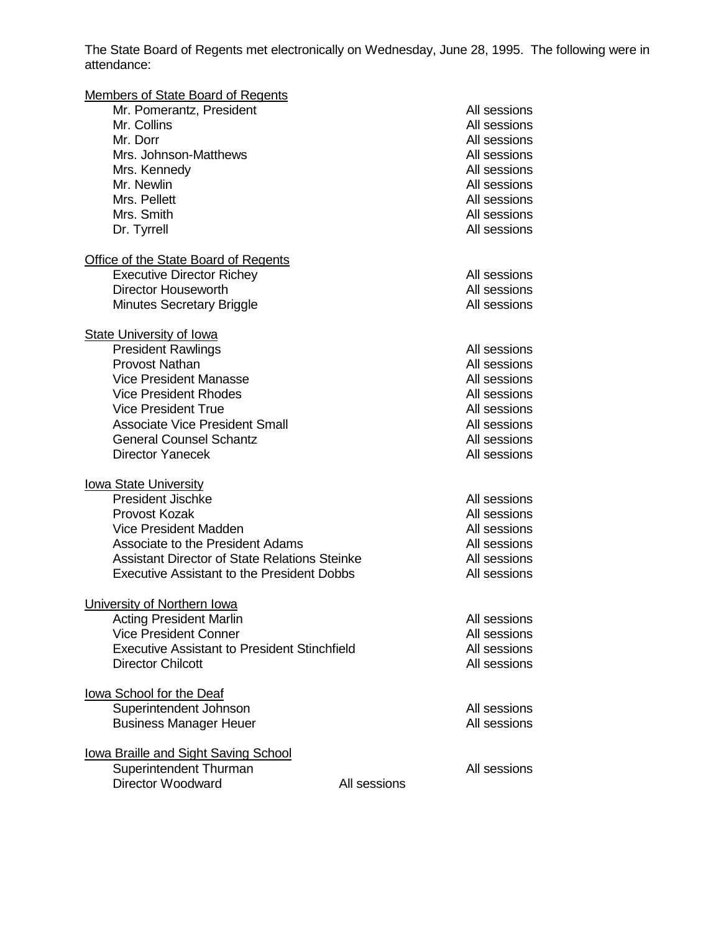The State Board of Regents met electronically on Wednesday, June 28, 1995. The following were in attendance:

| <b>Members of State Board of Regents</b>             |              |              |
|------------------------------------------------------|--------------|--------------|
| Mr. Pomerantz, President                             |              | All sessions |
| Mr. Collins                                          |              | All sessions |
| Mr. Dorr                                             |              | All sessions |
| Mrs. Johnson-Matthews                                |              | All sessions |
| Mrs. Kennedy                                         |              | All sessions |
| Mr. Newlin                                           |              | All sessions |
| Mrs. Pellett                                         |              | All sessions |
| Mrs. Smith                                           |              | All sessions |
| Dr. Tyrrell                                          |              | All sessions |
| Office of the State Board of Regents                 |              |              |
| <b>Executive Director Richey</b>                     |              | All sessions |
| Director Houseworth                                  |              | All sessions |
| <b>Minutes Secretary Briggle</b>                     |              | All sessions |
| <b>State University of Iowa</b>                      |              |              |
| <b>President Rawlings</b>                            |              | All sessions |
| <b>Provost Nathan</b>                                |              | All sessions |
| <b>Vice President Manasse</b>                        |              | All sessions |
| <b>Vice President Rhodes</b>                         |              | All sessions |
| <b>Vice President True</b>                           |              | All sessions |
| <b>Associate Vice President Small</b>                |              | All sessions |
| <b>General Counsel Schantz</b>                       |              | All sessions |
| <b>Director Yanecek</b>                              |              | All sessions |
| <b>lowa State University</b>                         |              |              |
| <b>President Jischke</b>                             |              | All sessions |
| Provost Kozak                                        |              | All sessions |
| Vice President Madden                                |              | All sessions |
| Associate to the President Adams                     |              | All sessions |
| <b>Assistant Director of State Relations Steinke</b> |              | All sessions |
| <b>Executive Assistant to the President Dobbs</b>    |              | All sessions |
| University of Northern Iowa                          |              |              |
| <b>Acting President Marlin</b>                       |              | All sessions |
| <b>Vice President Conner</b>                         |              | All sessions |
| <b>Executive Assistant to President Stinchfield</b>  |              | All sessions |
| <b>Director Chilcott</b>                             |              | All sessions |
| lowa School for the Deaf                             |              |              |
| Superintendent Johnson                               |              | All sessions |
| <b>Business Manager Heuer</b>                        |              | All sessions |
| lowa Braille and Sight Saving School                 |              |              |
| Superintendent Thurman                               |              | All sessions |
| <b>Director Woodward</b>                             | All sessions |              |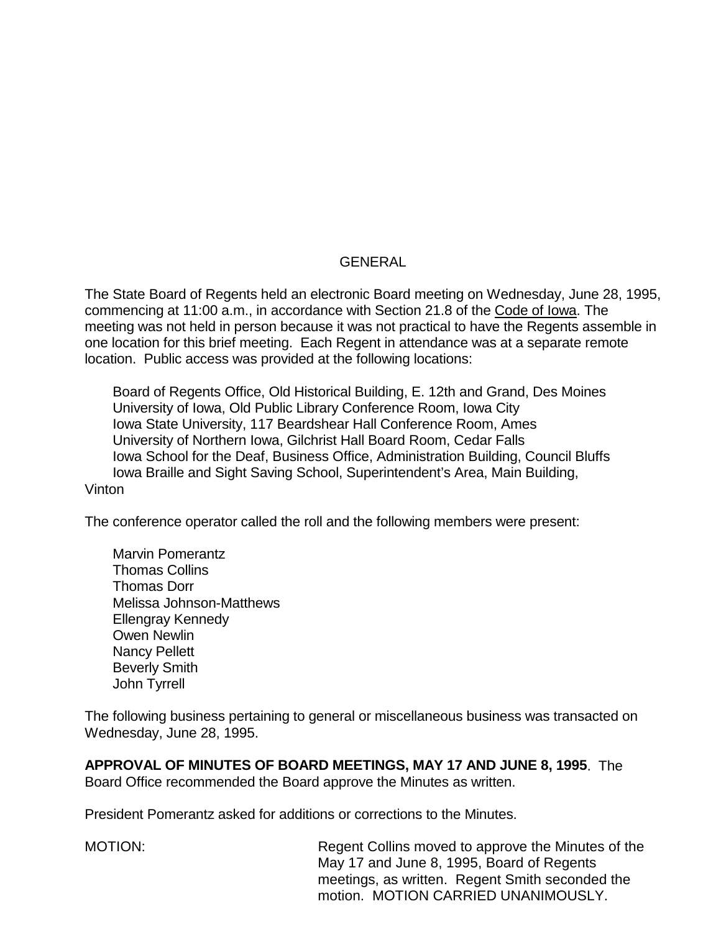## GENERAL

The State Board of Regents held an electronic Board meeting on Wednesday, June 28, 1995, commencing at 11:00 a.m., in accordance with Section 21.8 of the Code of Iowa. The meeting was not held in person because it was not practical to have the Regents assemble in one location for this brief meeting. Each Regent in attendance was at a separate remote location. Public access was provided at the following locations:

Board of Regents Office, Old Historical Building, E. 12th and Grand, Des Moines University of Iowa, Old Public Library Conference Room, Iowa City Iowa State University, 117 Beardshear Hall Conference Room, Ames University of Northern Iowa, Gilchrist Hall Board Room, Cedar Falls Iowa School for the Deaf, Business Office, Administration Building, Council Bluffs Iowa Braille and Sight Saving School, Superintendent's Area, Main Building, Vinton

The conference operator called the roll and the following members were present:

Marvin Pomerantz Thomas Collins Thomas Dorr Melissa Johnson-Matthews Ellengray Kennedy Owen Newlin Nancy Pellett Beverly Smith John Tyrrell

The following business pertaining to general or miscellaneous business was transacted on Wednesday, June 28, 1995.

**APPROVAL OF MINUTES OF BOARD MEETINGS, MAY 17 AND JUNE 8, 1995**. The Board Office recommended the Board approve the Minutes as written.

President Pomerantz asked for additions or corrections to the Minutes.

MOTION: Regent Collins moved to approve the Minutes of the May 17 and June 8, 1995, Board of Regents meetings, as written. Regent Smith seconded the motion. MOTION CARRIED UNANIMOUSLY.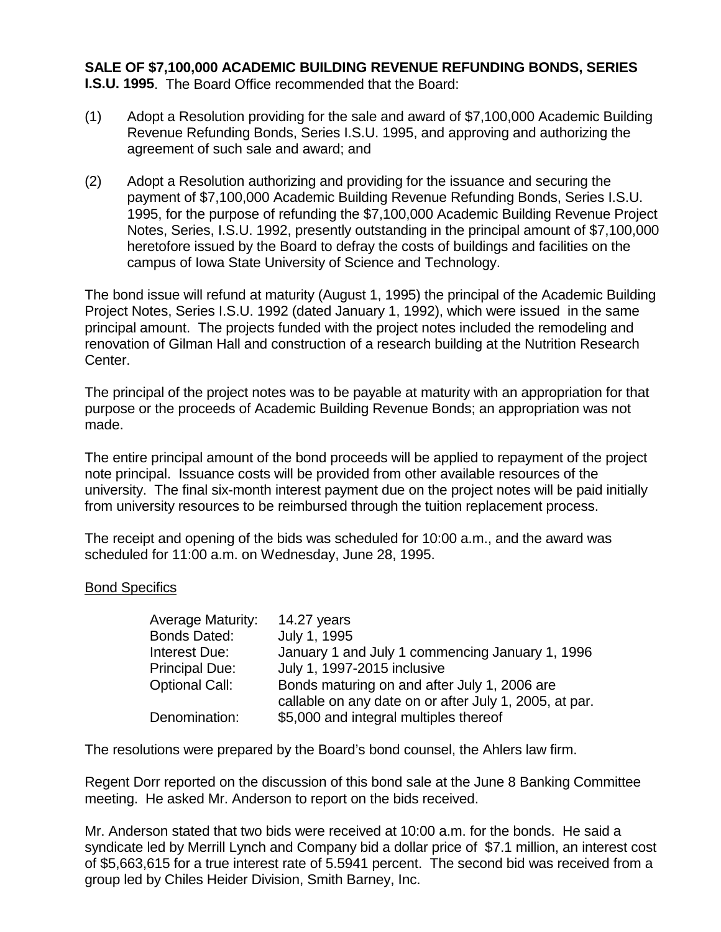## **SALE OF \$7,100,000 ACADEMIC BUILDING REVENUE REFUNDING BONDS, SERIES**

**I.S.U. 1995**. The Board Office recommended that the Board:

- (1) Adopt a Resolution providing for the sale and award of \$7,100,000 Academic Building Revenue Refunding Bonds, Series I.S.U. 1995, and approving and authorizing the agreement of such sale and award; and
- (2) Adopt a Resolution authorizing and providing for the issuance and securing the payment of \$7,100,000 Academic Building Revenue Refunding Bonds, Series I.S.U. 1995, for the purpose of refunding the \$7,100,000 Academic Building Revenue Project Notes, Series, I.S.U. 1992, presently outstanding in the principal amount of \$7,100,000 heretofore issued by the Board to defray the costs of buildings and facilities on the campus of Iowa State University of Science and Technology.

The bond issue will refund at maturity (August 1, 1995) the principal of the Academic Building Project Notes, Series I.S.U. 1992 (dated January 1, 1992), which were issued in the same principal amount. The projects funded with the project notes included the remodeling and renovation of Gilman Hall and construction of a research building at the Nutrition Research Center.

The principal of the project notes was to be payable at maturity with an appropriation for that purpose or the proceeds of Academic Building Revenue Bonds; an appropriation was not made.

The entire principal amount of the bond proceeds will be applied to repayment of the project note principal. Issuance costs will be provided from other available resources of the university. The final six-month interest payment due on the project notes will be paid initially from university resources to be reimbursed through the tuition replacement process.

The receipt and opening of the bids was scheduled for 10:00 a.m., and the award was scheduled for 11:00 a.m. on Wednesday, June 28, 1995.

## Bond Specifics

| <b>Average Maturity:</b> | 14.27 years                                            |
|--------------------------|--------------------------------------------------------|
| <b>Bonds Dated:</b>      | July 1, 1995                                           |
| Interest Due:            | January 1 and July 1 commencing January 1, 1996        |
| <b>Principal Due:</b>    | July 1, 1997-2015 inclusive                            |
| <b>Optional Call:</b>    | Bonds maturing on and after July 1, 2006 are           |
|                          | callable on any date on or after July 1, 2005, at par. |
| Denomination:            | \$5,000 and integral multiples thereof                 |

The resolutions were prepared by the Board's bond counsel, the Ahlers law firm.

Regent Dorr reported on the discussion of this bond sale at the June 8 Banking Committee meeting. He asked Mr. Anderson to report on the bids received.

Mr. Anderson stated that two bids were received at 10:00 a.m. for the bonds. He said a syndicate led by Merrill Lynch and Company bid a dollar price of \$7.1 million, an interest cost of \$5,663,615 for a true interest rate of 5.5941 percent. The second bid was received from a group led by Chiles Heider Division, Smith Barney, Inc.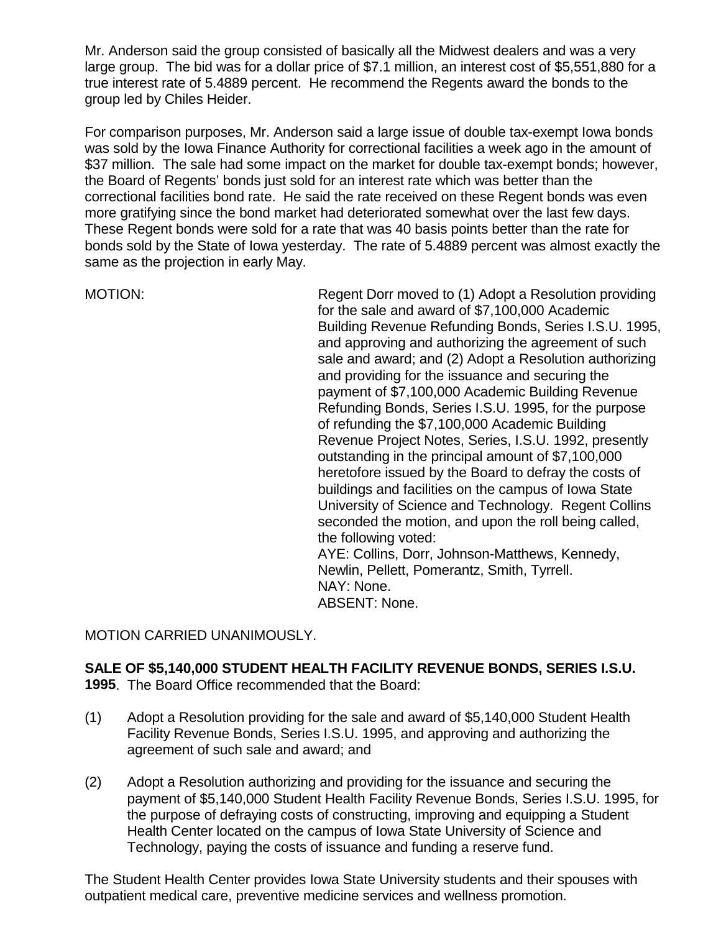Mr. Anderson said the group consisted of basically all the Midwest dealers and was a very large group. The bid was for a dollar price of \$7.1 million, an interest cost of \$5,551,880 for a true interest rate of 5.4889 percent. He recommend the Regents award the bonds to the group led by Chiles Heider.

For comparison purposes, Mr. Anderson said a large issue of double tax-exempt Iowa bonds was sold by the Iowa Finance Authority for correctional facilities a week ago in the amount of \$37 million. The sale had some impact on the market for double tax-exempt bonds; however, the Board of Regents' bonds just sold for an interest rate which was better than the correctional facilities bond rate. He said the rate received on these Regent bonds was even more gratifying since the bond market had deteriorated somewhat over the last few days. These Regent bonds were sold for a rate that was 40 basis points better than the rate for bonds sold by the State of Iowa yesterday. The rate of 5.4889 percent was almost exactly the same as the projection in early May.

MOTION: Regent Dorr moved to (1) Adopt a Resolution providing for the sale and award of \$7,100,000 Academic Building Revenue Refunding Bonds, Series I.S.U. 1995, and approving and authorizing the agreement of such sale and award; and (2) Adopt a Resolution authorizing and providing for the issuance and securing the payment of \$7,100,000 Academic Building Revenue Refunding Bonds, Series I.S.U. 1995, for the purpose of refunding the \$7,100,000 Academic Building Revenue Project Notes, Series, I.S.U. 1992, presently outstanding in the principal amount of \$7,100,000 heretofore issued by the Board to defray the costs of buildings and facilities on the campus of Iowa State University of Science and Technology. Regent Collins seconded the motion, and upon the roll being called, the following voted: AYE: Collins, Dorr, Johnson-Matthews, Kennedy, Newlin, Pellett, Pomerantz, Smith, Tyrrell. NAY: None. ABSENT: None.

MOTION CARRIED UNANIMOUSLY.

# **SALE OF \$5,140,000 STUDENT HEALTH FACILITY REVENUE BONDS, SERIES I.S.U.**

**1995**. The Board Office recommended that the Board:

- (1) Adopt a Resolution providing for the sale and award of \$5,140,000 Student Health Facility Revenue Bonds, Series I.S.U. 1995, and approving and authorizing the agreement of such sale and award; and
- (2) Adopt a Resolution authorizing and providing for the issuance and securing the payment of \$5,140,000 Student Health Facility Revenue Bonds, Series I.S.U. 1995, for the purpose of defraying costs of constructing, improving and equipping a Student Health Center located on the campus of Iowa State University of Science and Technology, paying the costs of issuance and funding a reserve fund.

The Student Health Center provides Iowa State University students and their spouses with outpatient medical care, preventive medicine services and wellness promotion.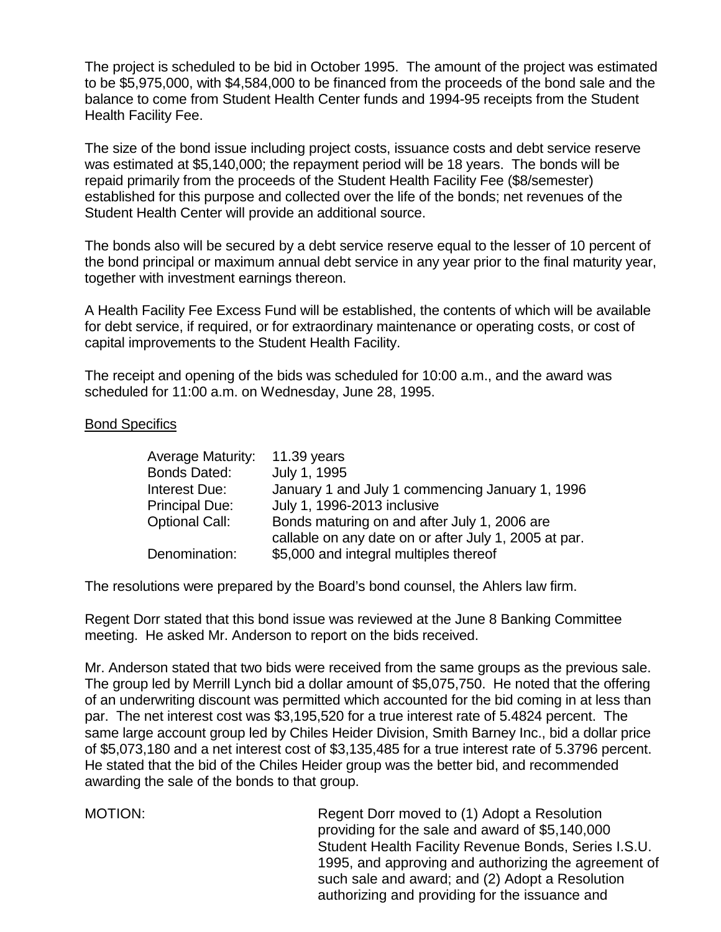The project is scheduled to be bid in October 1995. The amount of the project was estimated to be \$5,975,000, with \$4,584,000 to be financed from the proceeds of the bond sale and the balance to come from Student Health Center funds and 1994-95 receipts from the Student Health Facility Fee.

The size of the bond issue including project costs, issuance costs and debt service reserve was estimated at \$5,140,000; the repayment period will be 18 years. The bonds will be repaid primarily from the proceeds of the Student Health Facility Fee (\$8/semester) established for this purpose and collected over the life of the bonds; net revenues of the Student Health Center will provide an additional source.

The bonds also will be secured by a debt service reserve equal to the lesser of 10 percent of the bond principal or maximum annual debt service in any year prior to the final maturity year, together with investment earnings thereon.

A Health Facility Fee Excess Fund will be established, the contents of which will be available for debt service, if required, or for extraordinary maintenance or operating costs, or cost of capital improvements to the Student Health Facility.

The receipt and opening of the bids was scheduled for 10:00 a.m., and the award was scheduled for 11:00 a.m. on Wednesday, June 28, 1995.

#### Bond Specifics

| <b>Average Maturity:</b> | 11.39 years                                           |
|--------------------------|-------------------------------------------------------|
| <b>Bonds Dated:</b>      | July 1, 1995                                          |
| Interest Due:            | January 1 and July 1 commencing January 1, 1996       |
| <b>Principal Due:</b>    | July 1, 1996-2013 inclusive                           |
| <b>Optional Call:</b>    | Bonds maturing on and after July 1, 2006 are          |
|                          | callable on any date on or after July 1, 2005 at par. |
| Denomination:            | \$5,000 and integral multiples thereof                |

The resolutions were prepared by the Board's bond counsel, the Ahlers law firm.

Regent Dorr stated that this bond issue was reviewed at the June 8 Banking Committee meeting. He asked Mr. Anderson to report on the bids received.

Mr. Anderson stated that two bids were received from the same groups as the previous sale. The group led by Merrill Lynch bid a dollar amount of \$5,075,750. He noted that the offering of an underwriting discount was permitted which accounted for the bid coming in at less than par. The net interest cost was \$3,195,520 for a true interest rate of 5.4824 percent. The same large account group led by Chiles Heider Division, Smith Barney Inc., bid a dollar price of \$5,073,180 and a net interest cost of \$3,135,485 for a true interest rate of 5.3796 percent. He stated that the bid of the Chiles Heider group was the better bid, and recommended awarding the sale of the bonds to that group.

MOTION: Regent Dorr moved to (1) Adopt a Resolution providing for the sale and award of \$5,140,000 Student Health Facility Revenue Bonds, Series I.S.U. 1995, and approving and authorizing the agreement of such sale and award; and (2) Adopt a Resolution authorizing and providing for the issuance and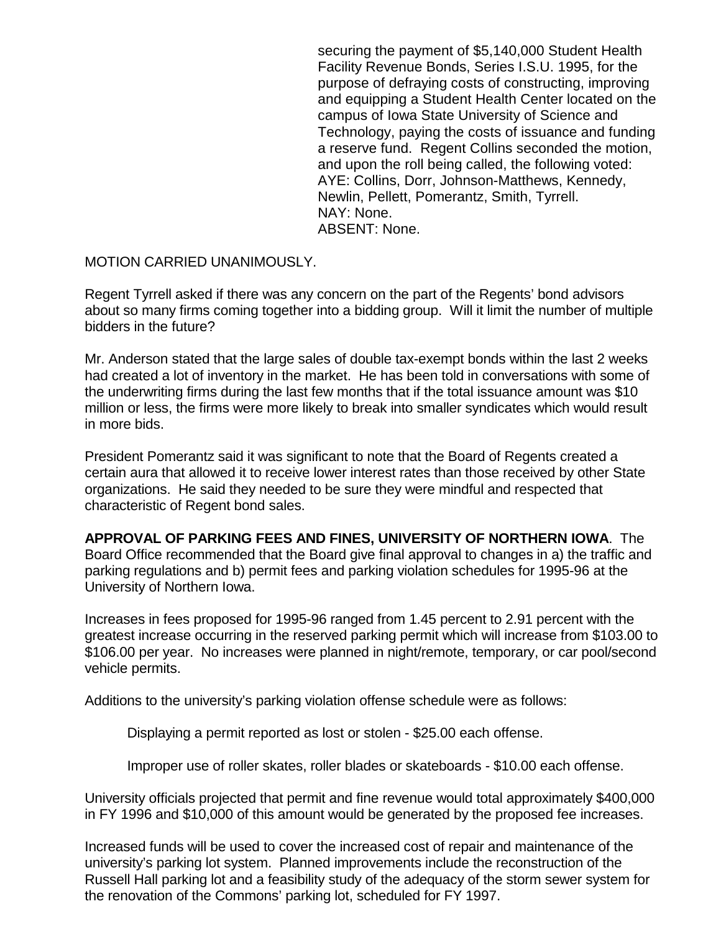securing the payment of \$5,140,000 Student Health Facility Revenue Bonds, Series I.S.U. 1995, for the purpose of defraying costs of constructing, improving and equipping a Student Health Center located on the campus of Iowa State University of Science and Technology, paying the costs of issuance and funding a reserve fund. Regent Collins seconded the motion, and upon the roll being called, the following voted: AYE: Collins, Dorr, Johnson-Matthews, Kennedy, Newlin, Pellett, Pomerantz, Smith, Tyrrell. NAY: None. ABSENT: None.

MOTION CARRIED UNANIMOUSLY.

Regent Tyrrell asked if there was any concern on the part of the Regents' bond advisors about so many firms coming together into a bidding group. Will it limit the number of multiple bidders in the future?

Mr. Anderson stated that the large sales of double tax-exempt bonds within the last 2 weeks had created a lot of inventory in the market. He has been told in conversations with some of the underwriting firms during the last few months that if the total issuance amount was \$10 million or less, the firms were more likely to break into smaller syndicates which would result in more bids.

President Pomerantz said it was significant to note that the Board of Regents created a certain aura that allowed it to receive lower interest rates than those received by other State organizations. He said they needed to be sure they were mindful and respected that characteristic of Regent bond sales.

## **APPROVAL OF PARKING FEES AND FINES, UNIVERSITY OF NORTHERN IOWA**. The

Board Office recommended that the Board give final approval to changes in a) the traffic and parking regulations and b) permit fees and parking violation schedules for 1995-96 at the University of Northern Iowa.

Increases in fees proposed for 1995-96 ranged from 1.45 percent to 2.91 percent with the greatest increase occurring in the reserved parking permit which will increase from \$103.00 to \$106.00 per year. No increases were planned in night/remote, temporary, or car pool/second vehicle permits.

Additions to the university's parking violation offense schedule were as follows:

Displaying a permit reported as lost or stolen - \$25.00 each offense.

Improper use of roller skates, roller blades or skateboards - \$10.00 each offense.

University officials projected that permit and fine revenue would total approximately \$400,000 in FY 1996 and \$10,000 of this amount would be generated by the proposed fee increases.

Increased funds will be used to cover the increased cost of repair and maintenance of the university's parking lot system. Planned improvements include the reconstruction of the Russell Hall parking lot and a feasibility study of the adequacy of the storm sewer system for the renovation of the Commons' parking lot, scheduled for FY 1997.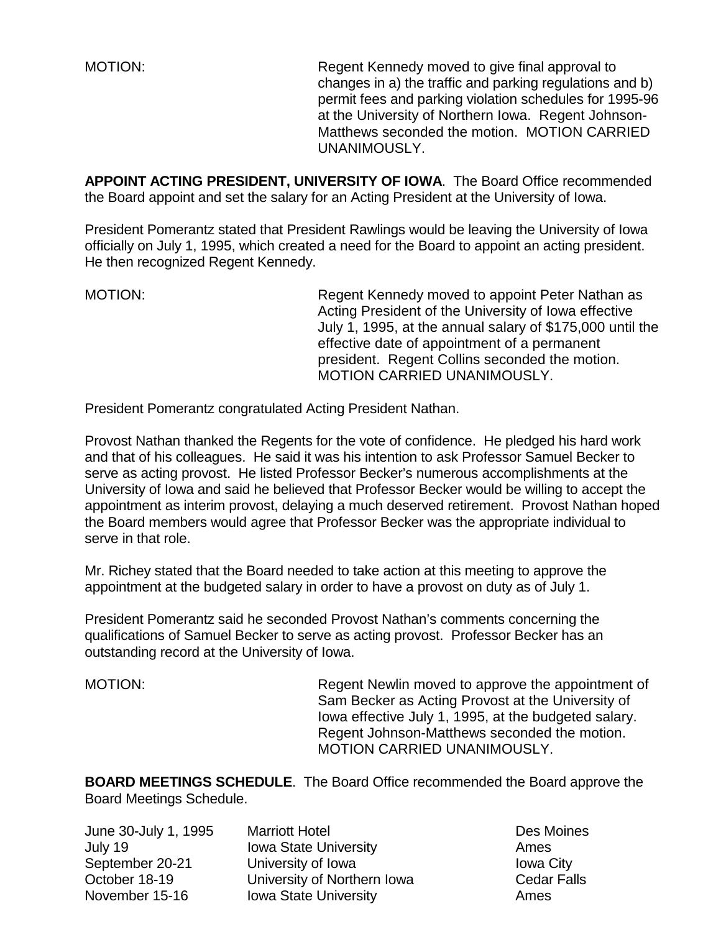MOTION: Regent Kennedy moved to give final approval to changes in a) the traffic and parking regulations and b) permit fees and parking violation schedules for 1995-96 at the University of Northern Iowa. Regent Johnson-Matthews seconded the motion. MOTION CARRIED UNANIMOUSLY.

**APPOINT ACTING PRESIDENT, UNIVERSITY OF IOWA**. The Board Office recommended the Board appoint and set the salary for an Acting President at the University of Iowa.

President Pomerantz stated that President Rawlings would be leaving the University of Iowa officially on July 1, 1995, which created a need for the Board to appoint an acting president. He then recognized Regent Kennedy.

MOTION: MOTION: Regent Kennedy moved to appoint Peter Nathan as Acting President of the University of Iowa effective July 1, 1995, at the annual salary of \$175,000 until the effective date of appointment of a permanent president. Regent Collins seconded the motion. MOTION CARRIED UNANIMOUSLY.

President Pomerantz congratulated Acting President Nathan.

Provost Nathan thanked the Regents for the vote of confidence. He pledged his hard work and that of his colleagues. He said it was his intention to ask Professor Samuel Becker to serve as acting provost. He listed Professor Becker's numerous accomplishments at the University of Iowa and said he believed that Professor Becker would be willing to accept the appointment as interim provost, delaying a much deserved retirement. Provost Nathan hoped the Board members would agree that Professor Becker was the appropriate individual to serve in that role.

Mr. Richey stated that the Board needed to take action at this meeting to approve the appointment at the budgeted salary in order to have a provost on duty as of July 1.

President Pomerantz said he seconded Provost Nathan's comments concerning the qualifications of Samuel Becker to serve as acting provost. Professor Becker has an outstanding record at the University of Iowa.

MOTION: Regent Newlin moved to approve the appointment of Sam Becker as Acting Provost at the University of Iowa effective July 1, 1995, at the budgeted salary. Regent Johnson-Matthews seconded the motion. MOTION CARRIED UNANIMOUSLY.

**BOARD MEETINGS SCHEDULE**. The Board Office recommended the Board approve the Board Meetings Schedule.

| June 30-July 1, 1995 | <b>Marriott Hotel</b>        | Des Moin         |
|----------------------|------------------------------|------------------|
| July 19              | <b>Iowa State University</b> | Ames             |
| September 20-21      | University of Iowa           | <b>Iowa City</b> |
| October 18-19        | University of Northern Iowa  | Cedar Fa         |
| November 15-16       | <b>Iowa State University</b> | Ames             |
|                      |                              |                  |

Des Moines In Iowa **Cedar Falls**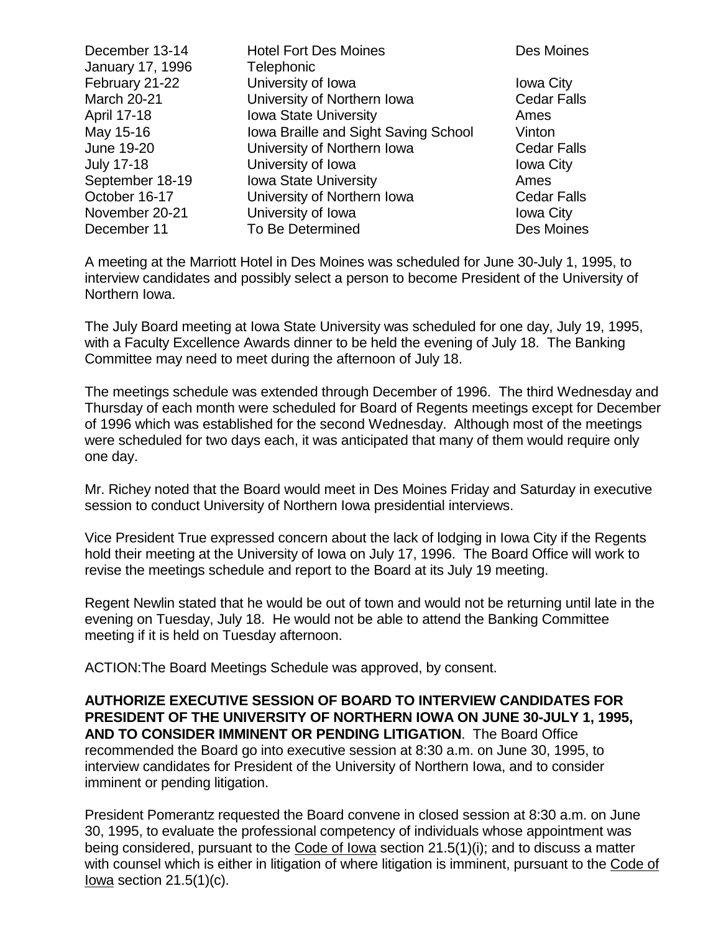| December 13-14     | <b>Hotel Fort Des Moines</b>         | Des Moines         |
|--------------------|--------------------------------------|--------------------|
| January 17, 1996   | Telephonic                           |                    |
| February 21-22     | University of Iowa                   | <b>Iowa City</b>   |
| <b>March 20-21</b> | University of Northern Iowa          | <b>Cedar Falls</b> |
| April 17-18        | <b>Iowa State University</b>         | Ames               |
| May 15-16          | Iowa Braille and Sight Saving School | Vinton             |
| June 19-20         | University of Northern Iowa          | <b>Cedar Falls</b> |
| <b>July 17-18</b>  | University of Iowa                   | <b>Iowa City</b>   |
| September 18-19    | <b>Iowa State University</b>         | Ames               |
| October 16-17      | University of Northern Iowa          | <b>Cedar Falls</b> |
| November 20-21     | University of Iowa                   | <b>Iowa City</b>   |
| December 11        | To Be Determined                     | Des Moines         |

A meeting at the Marriott Hotel in Des Moines was scheduled for June 30-July 1, 1995, to interview candidates and possibly select a person to become President of the University of Northern Iowa.

The July Board meeting at Iowa State University was scheduled for one day, July 19, 1995, with a Faculty Excellence Awards dinner to be held the evening of July 18. The Banking Committee may need to meet during the afternoon of July 18.

The meetings schedule was extended through December of 1996. The third Wednesday and Thursday of each month were scheduled for Board of Regents meetings except for December of 1996 which was established for the second Wednesday. Although most of the meetings were scheduled for two days each, it was anticipated that many of them would require only one day.

Mr. Richey noted that the Board would meet in Des Moines Friday and Saturday in executive session to conduct University of Northern Iowa presidential interviews.

Vice President True expressed concern about the lack of lodging in Iowa City if the Regents hold their meeting at the University of Iowa on July 17, 1996. The Board Office will work to revise the meetings schedule and report to the Board at its July 19 meeting.

Regent Newlin stated that he would be out of town and would not be returning until late in the evening on Tuesday, July 18. He would not be able to attend the Banking Committee meeting if it is held on Tuesday afternoon.

ACTION:The Board Meetings Schedule was approved, by consent.

**AUTHORIZE EXECUTIVE SESSION OF BOARD TO INTERVIEW CANDIDATES FOR PRESIDENT OF THE UNIVERSITY OF NORTHERN IOWA ON JUNE 30-JULY 1, 1995, AND TO CONSIDER IMMINENT OR PENDING LITIGATION**. The Board Office recommended the Board go into executive session at 8:30 a.m. on June 30, 1995, to interview candidates for President of the University of Northern Iowa, and to consider imminent or pending litigation.

President Pomerantz requested the Board convene in closed session at 8:30 a.m. on June 30, 1995, to evaluate the professional competency of individuals whose appointment was being considered, pursuant to the Code of Iowa section 21.5(1)(i); and to discuss a matter with counsel which is either in litigation of where litigation is imminent, pursuant to the Code of Iowa section  $21.5(1)(c)$ .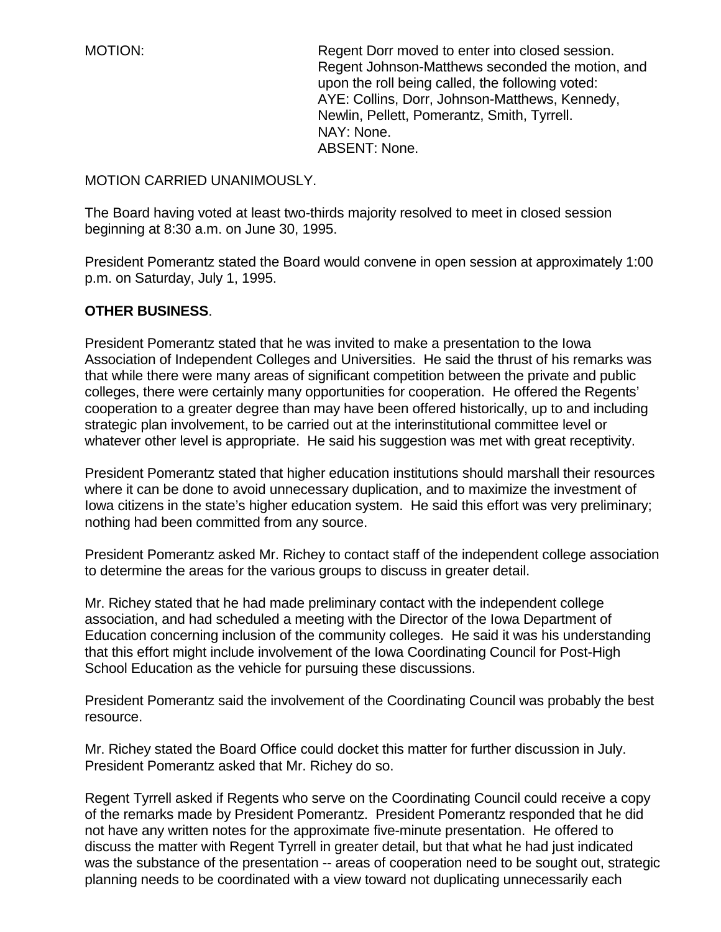MOTION: Regent Dorr moved to enter into closed session. Regent Johnson-Matthews seconded the motion, and upon the roll being called, the following voted: AYE: Collins, Dorr, Johnson-Matthews, Kennedy, Newlin, Pellett, Pomerantz, Smith, Tyrrell. NAY: None. ABSENT: None.

## MOTION CARRIED UNANIMOUSLY.

The Board having voted at least two-thirds majority resolved to meet in closed session beginning at 8:30 a.m. on June 30, 1995.

President Pomerantz stated the Board would convene in open session at approximately 1:00 p.m. on Saturday, July 1, 1995.

## **OTHER BUSINESS**.

President Pomerantz stated that he was invited to make a presentation to the Iowa Association of Independent Colleges and Universities. He said the thrust of his remarks was that while there were many areas of significant competition between the private and public colleges, there were certainly many opportunities for cooperation. He offered the Regents' cooperation to a greater degree than may have been offered historically, up to and including strategic plan involvement, to be carried out at the interinstitutional committee level or whatever other level is appropriate. He said his suggestion was met with great receptivity.

President Pomerantz stated that higher education institutions should marshall their resources where it can be done to avoid unnecessary duplication, and to maximize the investment of Iowa citizens in the state's higher education system. He said this effort was very preliminary; nothing had been committed from any source.

President Pomerantz asked Mr. Richey to contact staff of the independent college association to determine the areas for the various groups to discuss in greater detail.

Mr. Richey stated that he had made preliminary contact with the independent college association, and had scheduled a meeting with the Director of the Iowa Department of Education concerning inclusion of the community colleges. He said it was his understanding that this effort might include involvement of the Iowa Coordinating Council for Post-High School Education as the vehicle for pursuing these discussions.

President Pomerantz said the involvement of the Coordinating Council was probably the best resource.

Mr. Richey stated the Board Office could docket this matter for further discussion in July. President Pomerantz asked that Mr. Richey do so.

Regent Tyrrell asked if Regents who serve on the Coordinating Council could receive a copy of the remarks made by President Pomerantz. President Pomerantz responded that he did not have any written notes for the approximate five-minute presentation. He offered to discuss the matter with Regent Tyrrell in greater detail, but that what he had just indicated was the substance of the presentation -- areas of cooperation need to be sought out, strategic planning needs to be coordinated with a view toward not duplicating unnecessarily each